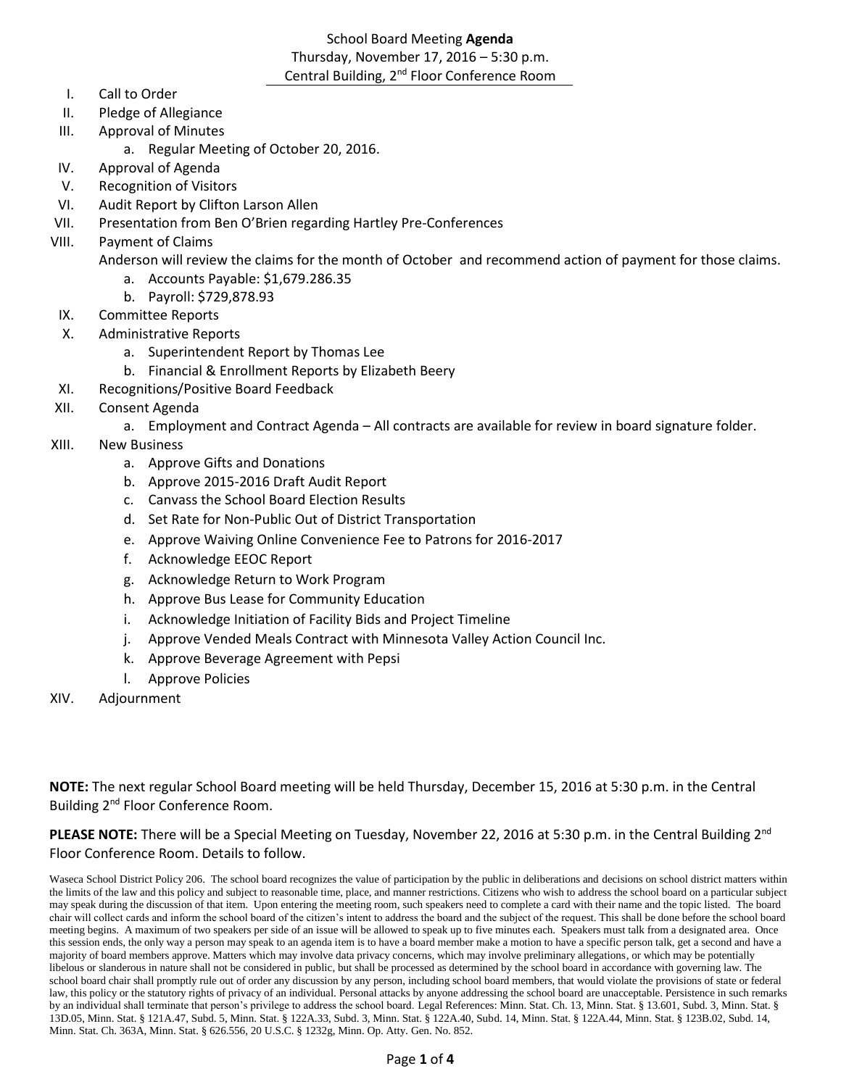# School Board Meeting **Agenda** Thursday, November 17, 2016 – 5:30 p.m. Central Building, 2<sup>nd</sup> Floor Conference Room

- I. Call to Order
- II. Pledge of Allegiance
- III. Approval of Minutes
	- a. Regular Meeting of October 20, 2016.
- IV. Approval of Agenda
- V. Recognition of Visitors
- VI. Audit Report by Clifton Larson Allen
- VII. Presentation from Ben O'Brien regarding Hartley Pre-Conferences
- VIII. Payment of Claims

Anderson will review the claims for the month of October and recommend action of payment for those claims.

- a. Accounts Payable: \$1,679.286.35
- b. Payroll: \$729,878.93
- IX. Committee Reports
- X. Administrative Reports
	- a. Superintendent Report by Thomas Lee
	- b. Financial & Enrollment Reports by Elizabeth Beery
- XI. Recognitions/Positive Board Feedback
- XII. Consent Agenda
	- a. Employment and Contract Agenda All contracts are available for review in board signature folder.
- XIII. New Business
	- a. Approve Gifts and Donations
	- b. Approve 2015-2016 Draft Audit Report
	- c. Canvass the School Board Election Results
	- d. Set Rate for Non-Public Out of District Transportation
	- e. Approve Waiving Online Convenience Fee to Patrons for 2016-2017
	- f. Acknowledge EEOC Report
	- g. Acknowledge Return to Work Program
	- h. Approve Bus Lease for Community Education
	- i. Acknowledge Initiation of Facility Bids and Project Timeline
	- j. Approve Vended Meals Contract with Minnesota Valley Action Council Inc.
	- k. Approve Beverage Agreement with Pepsi
	- l. Approve Policies
- XIV. Adjournment

**NOTE:** The next regular School Board meeting will be held Thursday, December 15, 2016 at 5:30 p.m. in the Central Building 2nd Floor Conference Room.

**PLEASE NOTE:** There will be a Special Meeting on Tuesday, November 22, 2016 at 5:30 p.m. in the Central Building 2<sup>nd</sup> Floor Conference Room. Details to follow.

Waseca School District Policy 206. The school board recognizes the value of participation by the public in deliberations and decisions on school district matters within the limits of the law and this policy and subject to reasonable time, place, and manner restrictions. Citizens who wish to address the school board on a particular subject may speak during the discussion of that item. Upon entering the meeting room, such speakers need to complete a card with their name and the topic listed. The board chair will collect cards and inform the school board of the citizen's intent to address the board and the subject of the request. This shall be done before the school board meeting begins. A maximum of two speakers per side of an issue will be allowed to speak up to five minutes each. Speakers must talk from a designated area. Once this session ends, the only way a person may speak to an agenda item is to have a board member make a motion to have a specific person talk, get a second and have a majority of board members approve. Matters which may involve data privacy concerns, which may involve preliminary allegations, or which may be potentially libelous or slanderous in nature shall not be considered in public, but shall be processed as determined by the school board in accordance with governing law. The school board chair shall promptly rule out of order any discussion by any person, including school board members, that would violate the provisions of state or federal law, this policy or the statutory rights of privacy of an individual. Personal attacks by anyone addressing the school board are unacceptable. Persistence in such remarks by an individual shall terminate that person's privilege to address the school board. Legal References: Minn. Stat. Ch. 13, Minn. Stat. § 13.601, Subd. 3, Minn. Stat. § 13D.05, Minn. Stat. § 121A.47, Subd. 5, Minn. Stat. § 122A.33, Subd. 3, Minn. Stat. § 122A.40, Subd. 14, Minn. Stat. § 122A.44, Minn. Stat. § 123B.02, Subd. 14, Minn. Stat. Ch. 363A, Minn. Stat. § 626.556, 20 U.S.C. § 1232g, Minn. Op. Atty. Gen. No. 852.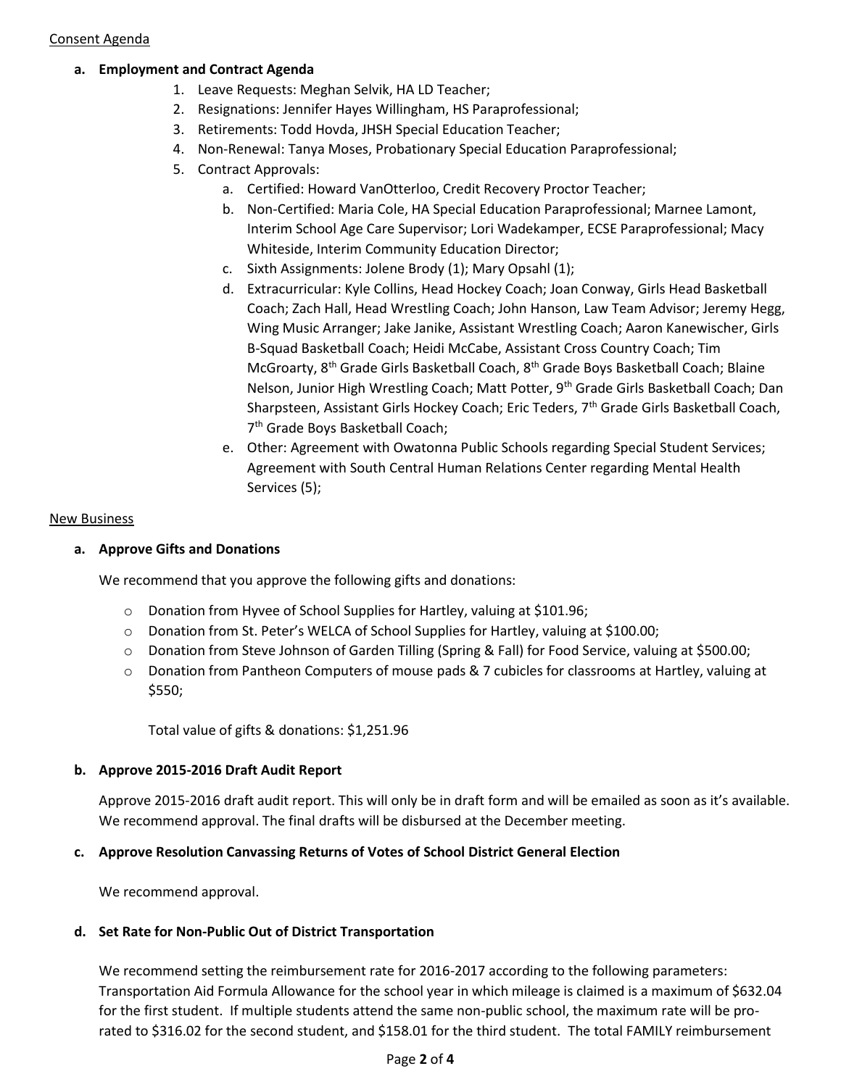#### Consent Agenda

# **a. Employment and Contract Agenda**

- 1. Leave Requests: Meghan Selvik, HA LD Teacher;
- 2. Resignations: Jennifer Hayes Willingham, HS Paraprofessional;
- 3. Retirements: Todd Hovda, JHSH Special Education Teacher;
- 4. Non-Renewal: Tanya Moses, Probationary Special Education Paraprofessional;
- 5. Contract Approvals:
	- a. Certified: Howard VanOtterloo, Credit Recovery Proctor Teacher;
	- b. Non-Certified: Maria Cole, HA Special Education Paraprofessional; Marnee Lamont, Interim School Age Care Supervisor; Lori Wadekamper, ECSE Paraprofessional; Macy Whiteside, Interim Community Education Director;
	- c. Sixth Assignments: Jolene Brody (1); Mary Opsahl (1);
	- d. Extracurricular: Kyle Collins, Head Hockey Coach; Joan Conway, Girls Head Basketball Coach; Zach Hall, Head Wrestling Coach; John Hanson, Law Team Advisor; Jeremy Hegg, Wing Music Arranger; Jake Janike, Assistant Wrestling Coach; Aaron Kanewischer, Girls B-Squad Basketball Coach; Heidi McCabe, Assistant Cross Country Coach; Tim McGroarty, 8th Grade Girls Basketball Coach, 8th Grade Boys Basketball Coach; Blaine Nelson, Junior High Wrestling Coach; Matt Potter, 9<sup>th</sup> Grade Girls Basketball Coach; Dan Sharpsteen, Assistant Girls Hockey Coach; Eric Teders, 7<sup>th</sup> Grade Girls Basketball Coach, 7 th Grade Boys Basketball Coach;
	- e. Other: Agreement with Owatonna Public Schools regarding Special Student Services; Agreement with South Central Human Relations Center regarding Mental Health Services (5);

#### New Business

#### **a. Approve Gifts and Donations**

We recommend that you approve the following gifts and donations:

- o Donation from Hyvee of School Supplies for Hartley, valuing at \$101.96;
- o Donation from St. Peter's WELCA of School Supplies for Hartley, valuing at \$100.00;
- o Donation from Steve Johnson of Garden Tilling (Spring & Fall) for Food Service, valuing at \$500.00;
- o Donation from Pantheon Computers of mouse pads & 7 cubicles for classrooms at Hartley, valuing at \$550;

Total value of gifts & donations: \$1,251.96

# **b. Approve 2015-2016 Draft Audit Report**

Approve 2015-2016 draft audit report. This will only be in draft form and will be emailed as soon as it's available. We recommend approval. The final drafts will be disbursed at the December meeting.

# **c. Approve Resolution Canvassing Returns of Votes of School District General Election**

We recommend approval.

# **d. Set Rate for Non-Public Out of District Transportation**

We recommend setting the reimbursement rate for 2016-2017 according to the following parameters: Transportation Aid Formula Allowance for the school year in which mileage is claimed is a maximum of \$632.04 for the first student. If multiple students attend the same non-public school, the maximum rate will be prorated to \$316.02 for the second student, and \$158.01 for the third student. The total FAMILY reimbursement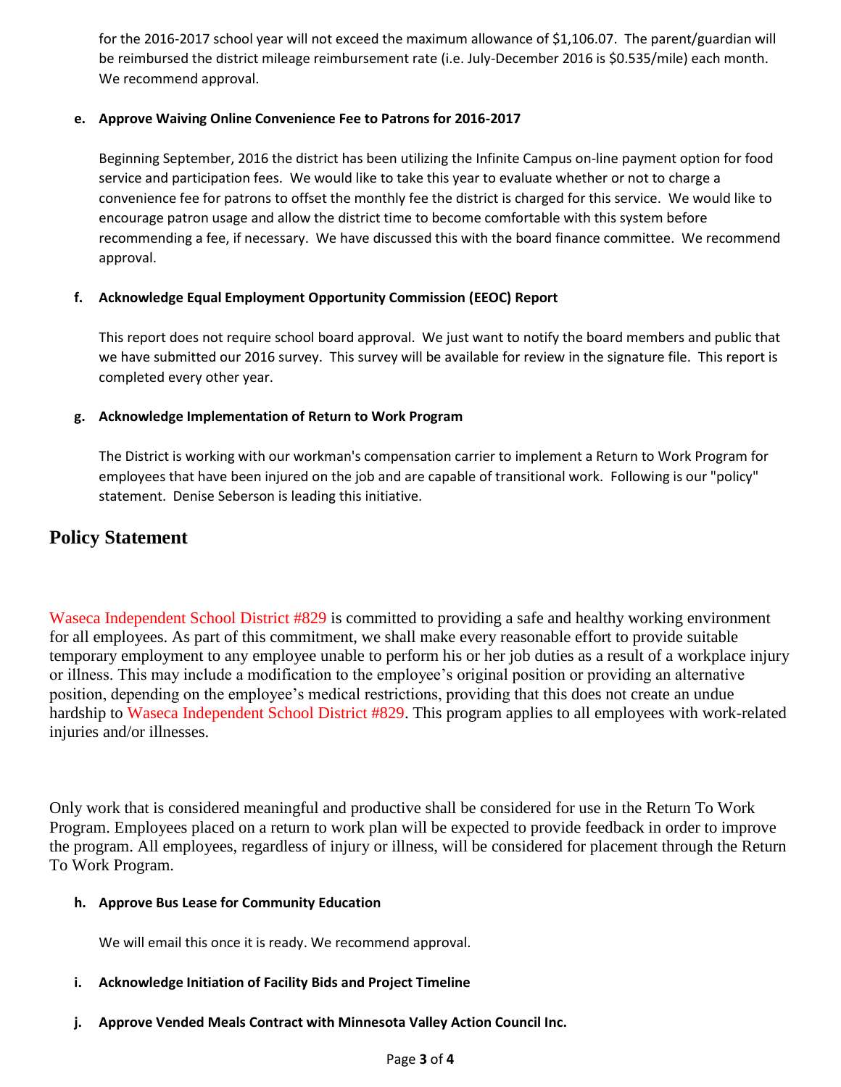for the 2016-2017 school year will not exceed the maximum allowance of \$1,106.07. The parent/guardian will be reimbursed the district mileage reimbursement rate (i.e. July-December 2016 is \$0.535/mile) each month. We recommend approval.

# **e. Approve Waiving Online Convenience Fee to Patrons for 2016-2017**

Beginning September, 2016 the district has been utilizing the Infinite Campus on-line payment option for food service and participation fees. We would like to take this year to evaluate whether or not to charge a convenience fee for patrons to offset the monthly fee the district is charged for this service. We would like to encourage patron usage and allow the district time to become comfortable with this system before recommending a fee, if necessary. We have discussed this with the board finance committee. We recommend approval.

# **f. Acknowledge Equal Employment Opportunity Commission (EEOC) Report**

This report does not require school board approval. We just want to notify the board members and public that we have submitted our 2016 survey. This survey will be available for review in the signature file. This report is completed every other year.

# **g. Acknowledge Implementation of Return to Work Program**

The District is working with our workman's compensation carrier to implement a Return to Work Program for employees that have been injured on the job and are capable of transitional work. Following is our "policy" statement. Denise Seberson is leading this initiative.

# **Policy Statement**

Waseca Independent School District #829 is committed to providing a safe and healthy working environment for all employees. As part of this commitment, we shall make every reasonable effort to provide suitable temporary employment to any employee unable to perform his or her job duties as a result of a workplace injury or illness. This may include a modification to the employee's original position or providing an alternative position, depending on the employee's medical restrictions, providing that this does not create an undue hardship to Waseca Independent School District #829. This program applies to all employees with work-related injuries and/or illnesses.

Only work that is considered meaningful and productive shall be considered for use in the Return To Work Program. Employees placed on a return to work plan will be expected to provide feedback in order to improve the program. All employees, regardless of injury or illness, will be considered for placement through the Return To Work Program.

# **h. Approve Bus Lease for Community Education**

We will email this once it is ready. We recommend approval.

- **i. Acknowledge Initiation of Facility Bids and Project Timeline**
- **j. Approve Vended Meals Contract with Minnesota Valley Action Council Inc.**